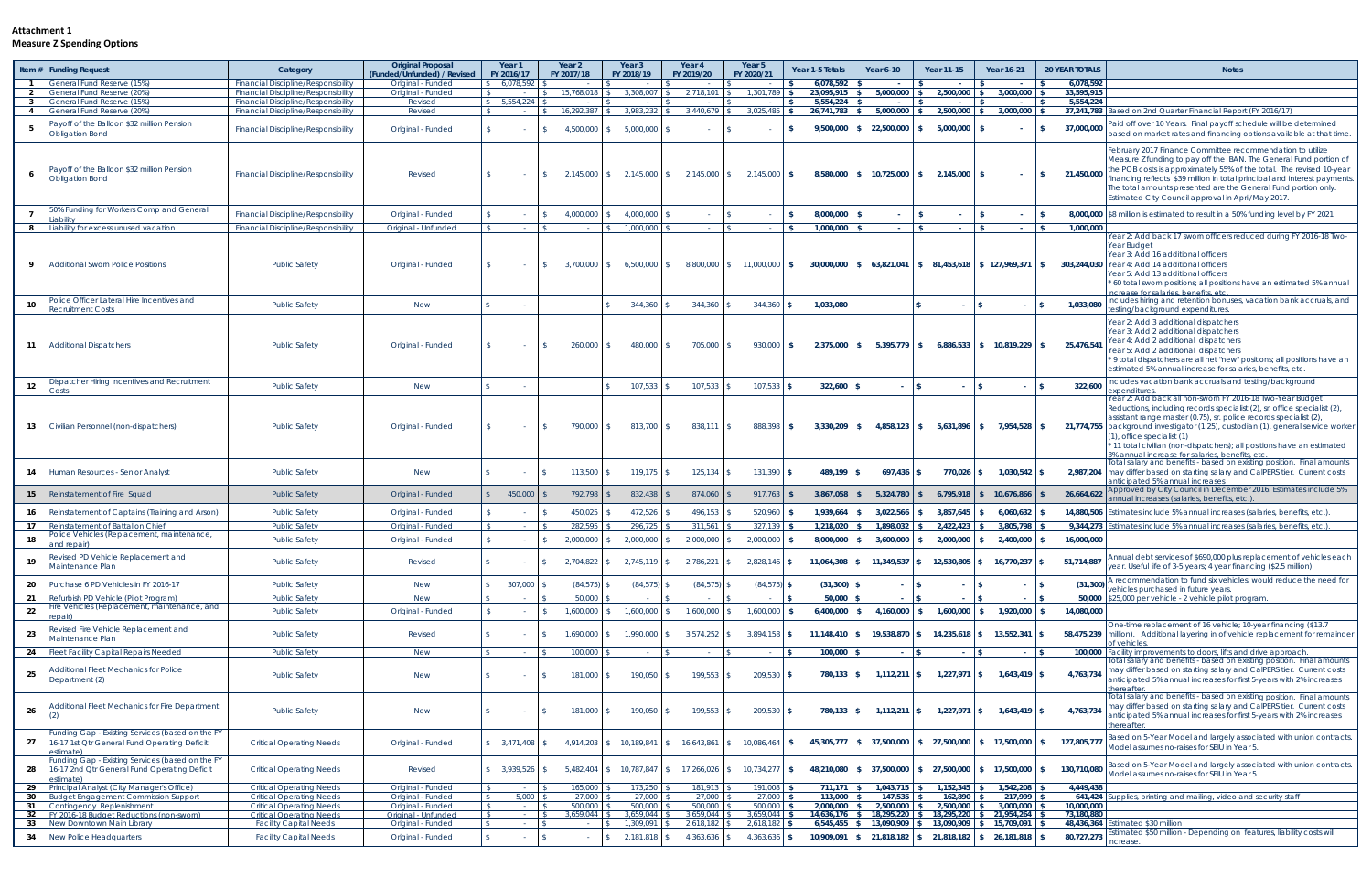## **Attachment 1 Measure Z Spending Options**

|    | Item # Funding Request                                                                                         | Category                                                                                 | <b>Original Proposal</b><br>(Funded/Unfunded) / Revised | Year 1<br>FY 2016/17                | Year <sub>2</sub><br>FY 2017/18 | Year <sub>3</sub><br>FY 2018/19 | Year 4<br>FY 2019/20        | Year 5<br>FY 2020/21                                     | Year 1-5 Totals         | Year 6-10                                                       | <b>Year 11-15</b>    | <b>Year 16-21</b>                          | <b>20 YEAR TOTALS</b>   | <b>Notes</b>                                                                                                                                                                                                                                                                                                                                                                                                                                                           |
|----|----------------------------------------------------------------------------------------------------------------|------------------------------------------------------------------------------------------|---------------------------------------------------------|-------------------------------------|---------------------------------|---------------------------------|-----------------------------|----------------------------------------------------------|-------------------------|-----------------------------------------------------------------|----------------------|--------------------------------------------|-------------------------|------------------------------------------------------------------------------------------------------------------------------------------------------------------------------------------------------------------------------------------------------------------------------------------------------------------------------------------------------------------------------------------------------------------------------------------------------------------------|
|    | General Fund Reserve (15%)                                                                                     | <b>Financial Discipline/Responsibility</b>                                               | Original - Funded                                       | 6.078.592                           |                                 | $\sim$<br>$\mathbb{R}$          |                             | $\sqrt{2}$                                               | 6.078.592               |                                                                 |                      |                                            | 6,078,592               |                                                                                                                                                                                                                                                                                                                                                                                                                                                                        |
|    | General Fund Reserve (20%)<br>3 General Fund Reserve (15%)                                                     | <b>Financial Discipline/Responsibility</b><br><b>Financial Discipline/Responsibility</b> | Original - Funded<br>Revised                            | $\mathbb{S}$<br>$$5,554,224$ \ \ \$ |                                 | $3.308.007$ \$                  | $2.718.101$ \$              | 1.301.789                                                | 23.095.915<br>5,554,224 | 5.000.000                                                       | 2.500.000<br>$\sim$  | 3.000.000<br>$\mathbf{S}$                  | 33.595.915<br>5,554,224 |                                                                                                                                                                                                                                                                                                                                                                                                                                                                        |
|    | 4 General Fund Reserve (20%)                                                                                   | <b>Financial Discipline/Responsibility</b>                                               | Revised                                                 | $\sim$ $\sim$ $\sim$ $\sim$         | 16,292,387 \$                   | $3.983.232$ \$                  | $3,440,679$ \$              | 3,025,485                                                | 26,741,783              | 5,000,000                                                       | $2,500,000$ \$       | 3,000,000                                  | 37,241,783              | ased on 2nd Quarter Financial Report (FY 2016/17)                                                                                                                                                                                                                                                                                                                                                                                                                      |
|    | ayoff of the Balloon \$32 million Pension<br><b>Obligation Bond</b>                                            | <b>Financial Discipline/Responsibility</b>                                               | Original - Funded                                       |                                     | 4,500,000                       | 5,000,000<br>- \$               |                             |                                                          | 9,500,000               | \$22,500,000                                                    | 5,000,000            | $\sim$                                     | 37,000,000              | aid off over 10 Years. Final payoff schedule will be determined<br>based on market rates and financing options available at that time.                                                                                                                                                                                                                                                                                                                                 |
|    | Payoff of the Balloon \$32 million Pension<br><b>Obligation Bond</b>                                           | <b>Financial Discipline/Responsibility</b>                                               | Revised                                                 |                                     |                                 |                                 |                             | $2,145,000$ \$ 2,145,000 \$ 2,145,000 \$ 2,145,000 \$    | 8,580,000               | \$ 10,725,000                                                   | $2,145,000$ \$       | $\sim$                                     | 21,450,000<br>l S.      | February 2017 Finance Committee recommendation to utilize<br>Measure Z funding to pay off the BAN. The General Fund portion of<br>the POB costs is approximately 55% of the total. The revised 10-year<br>inancing reflects \$39 million in total principal and interest payments.<br>The total amounts presented are the General Fund portion only.<br>Estimated City Council approval in April/May 2017.                                                             |
|    | 50% Funding for Workers Comp and General                                                                       | <b>Financial Discipline/Responsibility</b>                                               | Original - Funded                                       |                                     | 4,000,000                       | 4,000,000                       |                             |                                                          | 8,000,000               |                                                                 |                      | $\sim$                                     |                         | 8,000,000 \$8 million is estimated to result in a 50% funding level by FY 2021                                                                                                                                                                                                                                                                                                                                                                                         |
|    | 8 Liability for excess unused vacation                                                                         | <b>Financial Discipline/Responsibility</b>                                               | Original - Unfunded                                     | $\sim$ $\sim$ $\sim$ $\sim$         | $ \sqrt{8}$                     | $1.000.000$ \ \$                | $\sim$ $\sim$ $\sim$ $\sim$ |                                                          | 1,000,000               |                                                                 | $\sim$               | <b>College</b>                             | 1,000,000               | Year 2: Add back 17 sworn officers reduced during FY 2016-18 Two-                                                                                                                                                                                                                                                                                                                                                                                                      |
|    | Additional Sworn Police Positions                                                                              | <b>Public Safety</b>                                                                     | Original - Funded                                       |                                     | 3,700,000                       | 6,500,000                       |                             | 8,800,000 \$ 11,000,000                                  | IS.                     | $30,000,000$ \$ 63,821,041                                      |                      | $\frac{1}{2}$ 81,453,618 \ \$ 127,969,371  |                         | Year Budget<br>Year 3: Add 16 additional officers<br>303,244,030 Year 4: Add 14 additional officers<br>Year 5: Add 13 additional officers<br>60 total sworn positions; all positions have an estimated 5% annual<br>crease for salaries, benefits, etc                                                                                                                                                                                                                 |
| 10 | Police Officer Lateral Hire Incentives and<br>ecruitment Costs                                                 | <b>Public Safety</b>                                                                     | <b>New</b>                                              |                                     |                                 | 344,360                         | 344,360                     | 344,360                                                  | 1,033,080               |                                                                 |                      |                                            | 1,033,080               | ncludes hiring and retention bonuses, vacation bank accruals, and<br>esting/background expenditures                                                                                                                                                                                                                                                                                                                                                                    |
| 11 | <b>Additional Dispatchers</b>                                                                                  | <b>Public Safety</b>                                                                     | Original - Funded                                       |                                     | 260,000                         | 480,000                         | 705,000                     | 930,000                                                  | 2,375,000<br>ΙS         | $5,395,779$ \$<br>s.                                            |                      | $6,886,533$ \$ 10,819,229 \$               | 25,476,541              | Year 2: Add 3 additional dispatchers<br>Year 3: Add 2 additional dispatchers<br>Year 4: Add 2 additional dispatchers<br>Year 5: Add 2 additional dispatchers<br>9 total dispatchers are all net "new" positions; all positions have an<br>estimated 5% annual increase for salaries, benefits, etc                                                                                                                                                                     |
| 12 | Dispatcher Hiring Incentives and Recruitment                                                                   | <b>Public Safety</b>                                                                     | <b>New</b>                                              |                                     |                                 | 107,533                         | 107,533                     | 107,533                                                  | 322,600                 |                                                                 |                      | $\mathbf{1}$<br>$\sim$                     | 322,600                 | ncludes vacation bank accruals and testing/background                                                                                                                                                                                                                                                                                                                                                                                                                  |
| 13 | Civilian Personnel (non-dispatchers)                                                                           | <b>Public Safety</b>                                                                     | Original - Funded                                       |                                     | 790,000                         | $813,700$ \ \$<br>$\mathcal{S}$ | $838,111$ \$                | $888,398$ \$                                             | 3,330,209               | $4,858,123$ \$<br>$\mathsf{s}$                                  | 5,631,896 \$         | 7,954,528 \$                               |                         | xpenditures.<br>Year 2: Add back all non-sworn FY 2016-18 Two-Year Budget<br>Reductions, including records specialist (2), sr. office specialist (2),<br>assistant range master (0.75), sr. police records specialist (2),<br>21,774,755 background investigator (1.25), custodian (1), general service worker<br>(1), office specialist (1)<br>11 total civilian (non-dispatchers); all positions have an estimated<br>% annual increase for salaries, benefits, etc. |
| 14 | Human Resources - Senior Analyst                                                                               | <b>Public Safety</b>                                                                     | New                                                     |                                     | 113,500                         | 119,175                         | 125, 134                    | 131,390                                                  | 489,199                 | 697,436                                                         | $770,026$ \$         | $1,030,542$ \$                             | 2,987,204               | Total salary and benefits - based on existing position. Final amounts<br>may differ based on starting salary and CalPERS tier. Current costs<br>anticipated 5% annual increases                                                                                                                                                                                                                                                                                        |
| 15 | Reinstatement of Fire Squad                                                                                    | <b>Public Safety</b>                                                                     | Original - Funded                                       | 450,000                             | 792,798                         | 832,438                         | 874,060                     | 917,763                                                  | 3,867,058               | 5,324,780                                                       | 6,795,918            | 10,676,866<br>-SS                          | 26,664,622              | Approved by City Council in December 2016. Estimates include 5%<br>annual increases (salaries, benefits, etc.)                                                                                                                                                                                                                                                                                                                                                         |
| 16 | Reinstatement of Captains (Training and Arson)                                                                 | <b>Public Safety</b>                                                                     | Original - Funded                                       |                                     | 450,025                         | 472,526                         | 496, 153                    | 520,960                                                  | 1,939,664               | 3,022,566<br>\$                                                 | 3,857,645            | 6,060,632                                  | 14,880,506              | Estimates include 5% annual increases (salaries, benefits, etc.).                                                                                                                                                                                                                                                                                                                                                                                                      |
|    | 17 Reinstatement of Battalion Chief                                                                            | <b>Public Safety</b>                                                                     | Original - Funded                                       |                                     | 282,595 \$                      |                                 | $311,561$ \$                | 327,139                                                  | 1,218,020               | 1,898,032                                                       | $2,422,423$ \$       | 3,805,798                                  | 9,344,273               | stimates include 5% annual increases (salaries, benefits, etc.)                                                                                                                                                                                                                                                                                                                                                                                                        |
| 18 | olice Vehicles (Replacement, maintenance,<br>and repair)                                                       | <b>Public Safety</b>                                                                     | Original - Funded                                       |                                     | 2,000,000                       | 2,000,000                       | 2,000,000                   | 2,000,000                                                | 8,000,000               | 3,600,000                                                       | 2,000,000            | 2,400,000                                  | 16,000,000              |                                                                                                                                                                                                                                                                                                                                                                                                                                                                        |
| 19 | Revised PD Vehicle Replacement and<br>Maintenance Plan                                                         | <b>Public Safety</b>                                                                     | Revised                                                 |                                     |                                 |                                 |                             | 2,704,822 \$ 2,745,119 \$ 2,786,221 \$ 2,828,146 \$      |                         | $11,064,308$ \$ $11,349,537$ \$ $12,530,805$ \$ $16,770,237$ \$ |                      |                                            |                         | 51,714,887 Annual debt services of \$690,000 plus replacement of vehicles each<br>year. Useful life of 3-5 years; 4 year financing (\$2.5 million)                                                                                                                                                                                                                                                                                                                     |
| 20 | Purchase 6 PD Vehicles in FY 2016-17                                                                           | <b>Public Safety</b>                                                                     | <b>New</b>                                              | 307,000                             | $(84,575)$ \$                   | $(84, 575)$ \$                  | $(84, 575)$ \$              | $(84, 575)$ \$                                           | (31,300)                |                                                                 |                      |                                            | (31, 300)               | A recommendation to fund six vehicles, would reduce the need for<br>ehicles purchased in future years.                                                                                                                                                                                                                                                                                                                                                                 |
|    | 21 Refurbish PD Vehicle (Pilot Program)                                                                        | <b>Public Safety</b>                                                                     | <b>New</b>                                              | $ \sqrt{5}$                         | $50.000$ \$                     | $\sim$ 1.8                      | $-1.5$                      |                                                          | 50,000                  |                                                                 |                      | $\sim$ $-$                                 |                         | 50,000 \$25,000 per vehicle - 2 vehicle pilot program.                                                                                                                                                                                                                                                                                                                                                                                                                 |
| 22 | Fire Vehicles (Replacement, maintenance, and<br>repair)                                                        | <b>Public Safety</b>                                                                     | Original - Funded                                       |                                     | $1,600,000$ \$                  | 1,600,000                       | $1,600,000$ \$              | 1,600,000                                                | 6,400,000               | 4,160,000<br>S.                                                 | $1,600,000$ \$       | $1,920,000$ \$                             | 14,080,000              |                                                                                                                                                                                                                                                                                                                                                                                                                                                                        |
| 23 | Revised Fire Vehicle Replacement and<br>Maintenance Plan                                                       | <b>Public Safety</b>                                                                     | Revised                                                 |                                     | $1,690,000$ \$                  | 1,990,000                       | $3,574,252$ \$              | $3,894,158$ \$                                           |                         | $11,148,410$ \$ $19,538,870$ \$                                 | $14,235,618$ \$      | 13,552,341                                 | 58,475,239              | One-time replacement of 16 vehicle; 10-year financing (\$13.7)<br>million). Additional layering in of vehicle replacement for remainder<br>of vehicles.                                                                                                                                                                                                                                                                                                                |
|    | 24 Fleet Facility Capital Repairs Needed                                                                       | <b>Public Safety</b>                                                                     | <b>New</b>                                              |                                     | $100.000$ \$                    | $\sim$ $\sim$                   |                             |                                                          | 100,000                 |                                                                 |                      |                                            | 100,000                 | Facility improvements to doors, lifts and drive approach.                                                                                                                                                                                                                                                                                                                                                                                                              |
| 25 | <b>Additional Fleet Mechanics for Police</b><br>Department (2)                                                 | <b>Public Safety</b>                                                                     | <b>New</b>                                              |                                     | 181,000 \$                      | 190,050 \$                      | $199,553$ \$                | $209,530$ \$                                             | $780,133$ \$            | $1,112,211$ \$                                                  | $1,227,971$ \$       | $1,643,419$ \$                             | 4,763,734               | Total salary and benefits - based on existing position. Final amounts<br>may differ based on starting salary and CalPERS tier. Current costs<br>anticipated 5% annual increases for first 5-years with 2% increases<br>hereafter                                                                                                                                                                                                                                       |
| 26 | Additional Fleet Mechanics for Fire Department                                                                 | <b>Public Safety</b>                                                                     | <b>New</b>                                              |                                     | 181,000 \$                      | 190,050                         | $199,553$ \$                | $209,530$ \$                                             | 780,133 \$              | $1,112,211$ \$                                                  | $1,227,971$ \$       | $1,643,419$ \$                             | 4,763,734               | Total salary and benefits - based on existing position. Final amounts<br>may differ based on starting salary and CalPERS tier. Current costs<br>anticipated 5% annual increases for first 5-years with 2% increases<br>hereafter                                                                                                                                                                                                                                       |
| 27 | Funding Gap - Existing Services (based on the FY<br>16-17 1st Qtr General Fund Operating Deficit<br>estimate). | <b>Critical Operating Needs</b>                                                          | Original - Funded                                       |                                     |                                 |                                 |                             | $4,914,203$ \$ 10,189,841 \$ 16,643,861 \$ 10,086,464 \$ | 45,305,777              | $\frac{1}{2}$ \$ 37,500,000                                     | \$27,500,000         | \$ 17,500,000                              | 127,805,777             | Based on 5-Year Model and largely associated with union contracts.<br>Model assumes no-raises for SEIU in Year 5.                                                                                                                                                                                                                                                                                                                                                      |
| 28 | Funding Gap - Existing Services (based on the FY<br>16-17 2nd Qtr General Fund Operating Deficit<br>estimate)  | <b>Critical Operating Needs</b>                                                          | Revised                                                 | 3,939,526                           |                                 |                                 |                             | $5,482,404$ \$ 10,787,847 \$ 17,266,026 \$ 10,734,277 \$ | 48,210,080              | $\frac{1}{2}$ \$ 37,500,000 \$ 27,500,000                       |                      | $$17,500,000$ \ \$                         | 130,710,080             | Based on 5-Year Model and largely associated with union contracts.<br>Model assumes no-raises for SEIU in Year 5.                                                                                                                                                                                                                                                                                                                                                      |
|    | 29 Principal Analyst (City Manager's Office)                                                                   | <b>Critical Operating Needs</b>                                                          | Original - Funded                                       | $\alpha = 1000$                     | 165,000                         | $173,250$ \$                    | 181,913                     | 191,008                                                  | 711,171                 | 1,043,715<br>- \$                                               | 1,152,345            | 1,542,208<br>$\mathbf{S}$                  | 4.449.438               |                                                                                                                                                                                                                                                                                                                                                                                                                                                                        |
|    | <b>30</b> Budget Engagement Commission Support<br>31 Contingency Replenishment                                 | <b>Critical Operating Needs</b><br><b>Critical Operating Needs</b>                       | Original - Funded<br>Original - Funded                  | $5,000$ \$<br>$-1$ $\sqrt{5}$       | $27,000$ \$<br>$500,000$ \$     | 27,000 \$<br>$500,000$ \$       | $27,000$ \$<br>500,000 \$   | 27,000<br>500,000                                        | 113,000<br>2,000,000    | 147,535<br>2,500,000                                            | 162,890<br>2,500,000 | 217,999<br>3,000,000<br>- \$               | 641,424<br>10,000,000   | upplies, printing and mailing, video and security staff                                                                                                                                                                                                                                                                                                                                                                                                                |
|    | 32 FY 2016-18 Budget Reductions (non-sworn)                                                                    | <b>Critical Operating Needs</b>                                                          | Original - Unfunded                                     | $  \sqrt{3}$                        | $3,659,044$ \$                  | $3,659,044$ \$                  | $3,659,044$ \$              | 3,659,044                                                | 14,636,176              | \$ 18,295,220                                                   |                      | $$18,295,220$ $$21,954,264$                | 73,180,880              |                                                                                                                                                                                                                                                                                                                                                                                                                                                                        |
|    | 33 New Downtown Main Library                                                                                   | <b>Facility Capital Needs</b>                                                            | Original - Funded                                       | $ \sqrt{S}$                         | $\sim$ $\sim$                   | $1,309,091$ \$                  | $2,618,182$ \$              | 2,618,182                                                | 6,545,455               | \$ 13,090,909                                                   |                      | 13,090,909 \$ 15,709,091                   | 48,436,364              | stimated \$30 million                                                                                                                                                                                                                                                                                                                                                                                                                                                  |
|    | <b>34</b> New Police Headquarters                                                                              | <b>Facility Capital Needs</b>                                                            | Original - Funded                                       | \$                                  |                                 | $2,181,818$ \$<br>$\mathbb{S}$  | 4,363,636 \$                | 4,363,636                                                | 10,909,091              | \$21,818,182                                                    |                      | $\frac{1}{2}$ 21,818,182 \ \ \$ 26,181,818 | 80,727,273              | stimated \$50 million - Depending on features, liability costs will<br><b>ncrease</b>                                                                                                                                                                                                                                                                                                                                                                                  |